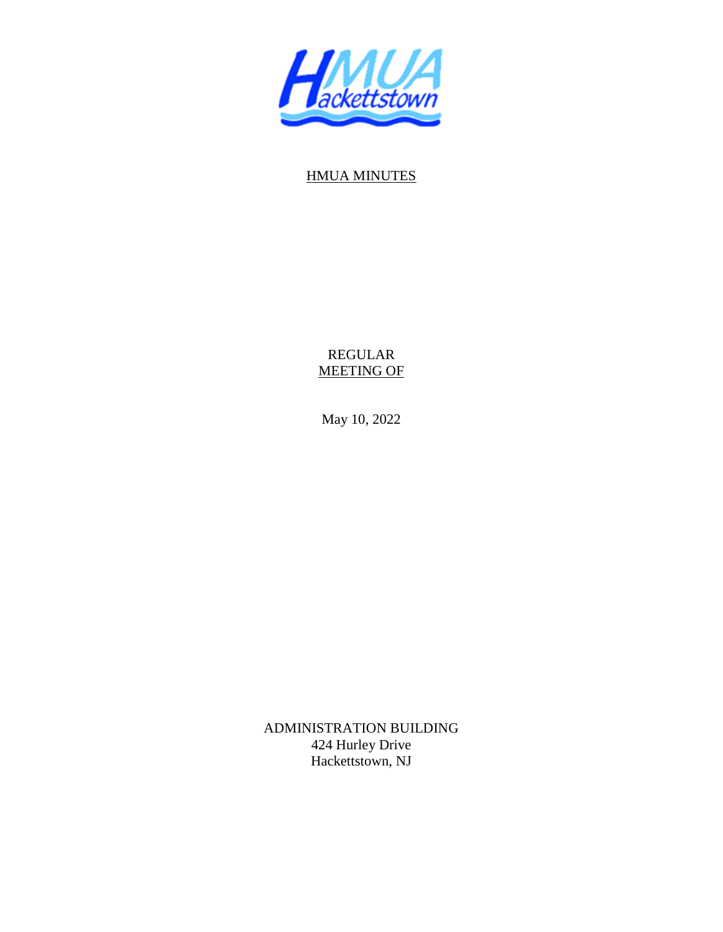

## HMUA MINUTES

REGULAR MEETING OF

May 10, 2022

ADMINISTRATION BUILDING 424 Hurley Drive Hackettstown, NJ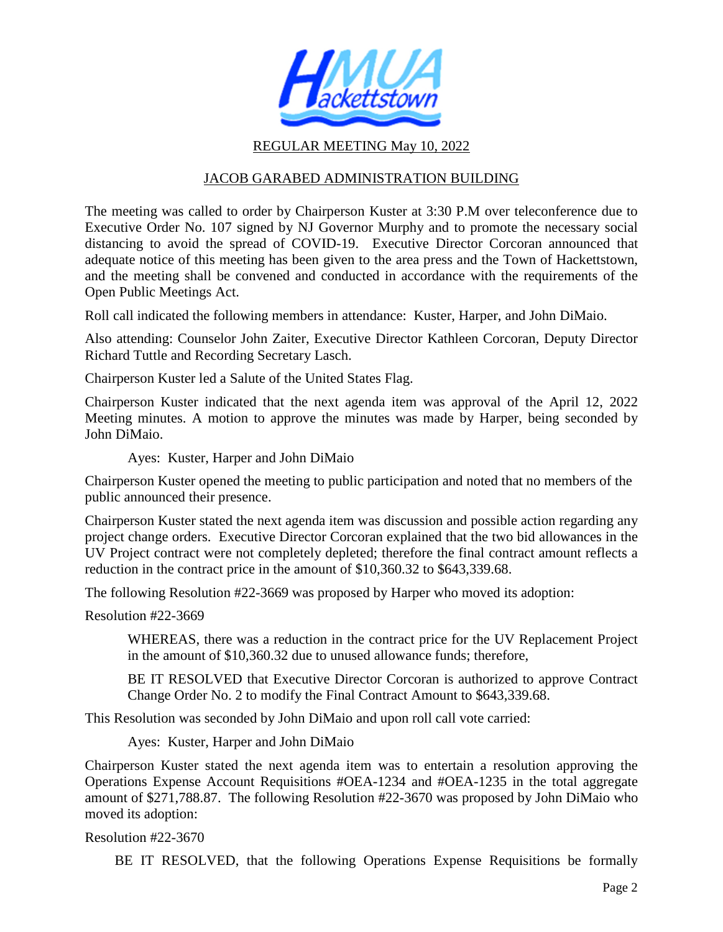

## REGULAR MEETING May 10, 2022

## JACOB GARABED ADMINISTRATION BUILDING

The meeting was called to order by Chairperson Kuster at 3:30 P.M over teleconference due to Executive Order No. 107 signed by NJ Governor Murphy and to promote the necessary social distancing to avoid the spread of COVID-19. Executive Director Corcoran announced that adequate notice of this meeting has been given to the area press and the Town of Hackettstown, and the meeting shall be convened and conducted in accordance with the requirements of the Open Public Meetings Act.

Roll call indicated the following members in attendance: Kuster, Harper, and John DiMaio.

Also attending: Counselor John Zaiter, Executive Director Kathleen Corcoran, Deputy Director Richard Tuttle and Recording Secretary Lasch.

Chairperson Kuster led a Salute of the United States Flag.

Chairperson Kuster indicated that the next agenda item was approval of the April 12, 2022 Meeting minutes. A motion to approve the minutes was made by Harper, being seconded by John DiMaio.

Ayes: Kuster, Harper and John DiMaio

Chairperson Kuster opened the meeting to public participation and noted that no members of the public announced their presence.

Chairperson Kuster stated the next agenda item was discussion and possible action regarding any project change orders. Executive Director Corcoran explained that the two bid allowances in the UV Project contract were not completely depleted; therefore the final contract amount reflects a reduction in the contract price in the amount of \$10,360.32 to \$643,339.68.

The following Resolution #22-3669 was proposed by Harper who moved its adoption:

Resolution #22-3669

 WHEREAS, there was a reduction in the contract price for the UV Replacement Project in the amount of \$10,360.32 due to unused allowance funds; therefore,

BE IT RESOLVED that Executive Director Corcoran is authorized to approve Contract Change Order No. 2 to modify the Final Contract Amount to \$643,339.68.

This Resolution was seconded by John DiMaio and upon roll call vote carried:

Ayes: Kuster, Harper and John DiMaio

Chairperson Kuster stated the next agenda item was to entertain a resolution approving the Operations Expense Account Requisitions #OEA-1234 and #OEA-1235 in the total aggregate amount of \$271,788.87. The following Resolution #22-3670 was proposed by John DiMaio who moved its adoption:

Resolution #22-3670

BE IT RESOLVED, that the following Operations Expense Requisitions be formally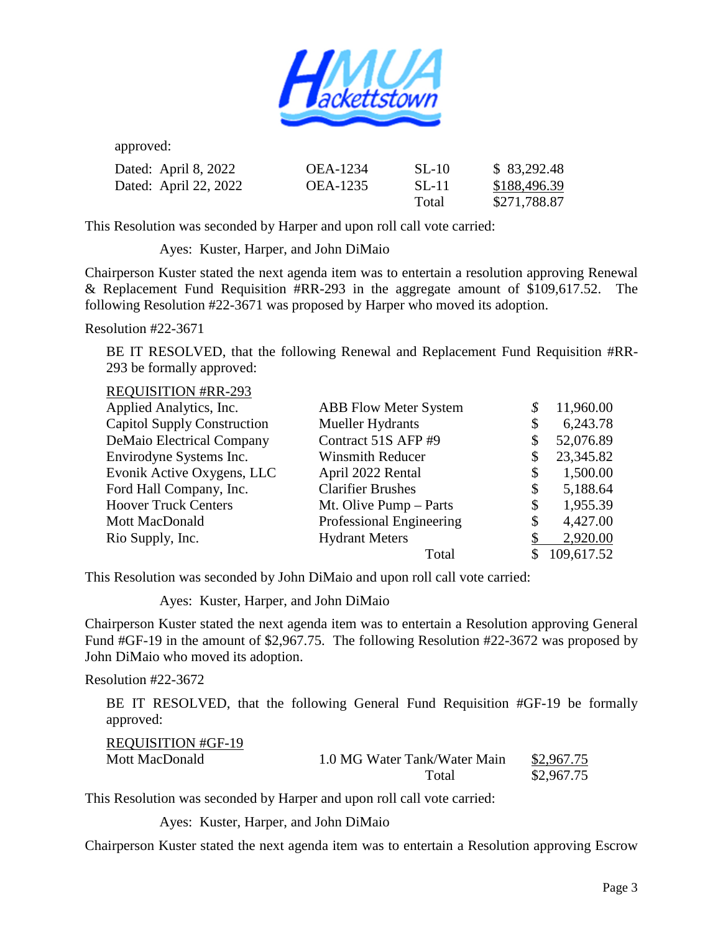

approved:

| Dated: April 8, 2022  | OEA-1234        | SL-10 | \$83,292.48  |
|-----------------------|-----------------|-------|--------------|
| Dated: April 22, 2022 | <b>OEA-1235</b> | SL-11 | \$188,496.39 |
|                       |                 | Total | \$271,788.87 |

This Resolution was seconded by Harper and upon roll call vote carried:

Ayes: Kuster, Harper, and John DiMaio

Chairperson Kuster stated the next agenda item was to entertain a resolution approving Renewal & Replacement Fund Requisition #RR-293 in the aggregate amount of \$109,617.52. The following Resolution #22-3671 was proposed by Harper who moved its adoption.

Resolution #22-3671

BE IT RESOLVED, that the following Renewal and Replacement Fund Requisition #RR-293 be formally approved:

REQUISITION #RR-293

| Applied Analytics, Inc.            | <b>ABB Flow Meter System</b> | 11,960.00       |
|------------------------------------|------------------------------|-----------------|
| <b>Capitol Supply Construction</b> | Mueller Hydrants             | \$<br>6,243.78  |
| <b>DeMaio Electrical Company</b>   | Contract 51S AFP #9          | \$<br>52,076.89 |
| Envirodyne Systems Inc.            | <b>Winsmith Reducer</b>      | 23,345.82       |
| Evonik Active Oxygens, LLC         | April 2022 Rental            | \$<br>1,500.00  |
| Ford Hall Company, Inc.            | <b>Clarifier Brushes</b>     | \$<br>5,188.64  |
| <b>Hoover Truck Centers</b>        | Mt. Olive Pump – Parts       | \$<br>1,955.39  |
| Mott MacDonald                     | Professional Engineering     | \$<br>4,427.00  |
| Rio Supply, Inc.                   | <b>Hydrant Meters</b>        | 2,920.00        |
|                                    | Total                        | 109,617.52      |

This Resolution was seconded by John DiMaio and upon roll call vote carried:

Ayes: Kuster, Harper, and John DiMaio

Chairperson Kuster stated the next agenda item was to entertain a Resolution approving General Fund #GF-19 in the amount of \$2,967.75. The following Resolution #22-3672 was proposed by John DiMaio who moved its adoption.

Resolution #22-3672

 BE IT RESOLVED, that the following General Fund Requisition #GF-19 be formally approved:

| <b>REQUISITION #GF-19</b> |                              |            |
|---------------------------|------------------------------|------------|
| Mott MacDonald            | 1.0 MG Water Tank/Water Main | \$2,967.75 |
|                           | Total                        | \$2,967.75 |

This Resolution was seconded by Harper and upon roll call vote carried:

Ayes: Kuster, Harper, and John DiMaio

Chairperson Kuster stated the next agenda item was to entertain a Resolution approving Escrow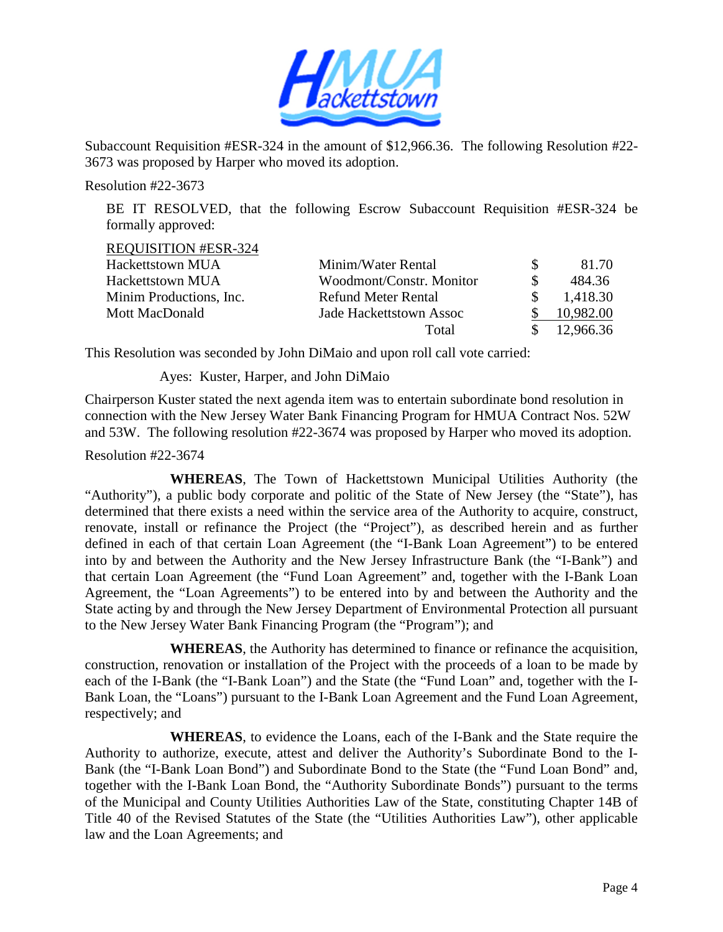

Subaccount Requisition #ESR-324 in the amount of \$12,966.36. The following Resolution #22- 3673 was proposed by Harper who moved its adoption.

Resolution #22-3673

BE IT RESOLVED, that the following Escrow Subaccount Requisition #ESR-324 be formally approved:

REQUISITION #ESR-324

| <b>Hackettstown MUA</b> | Minim/Water Rental       | 81.70     |
|-------------------------|--------------------------|-----------|
| <b>Hackettstown MUA</b> | Woodmont/Constr. Monitor | 484.36    |
| Minim Productions, Inc. | Refund Meter Rental      | 1,418.30  |
| Mott MacDonald          | Jade Hackettstown Assoc  | 10,982.00 |
|                         | Total                    | 12,966.36 |

This Resolution was seconded by John DiMaio and upon roll call vote carried:

Ayes: Kuster, Harper, and John DiMaio

Chairperson Kuster stated the next agenda item was to entertain subordinate bond resolution in connection with the New Jersey Water Bank Financing Program for HMUA Contract Nos. 52W and 53W. The following resolution #22-3674 was proposed by Harper who moved its adoption.

Resolution #22-3674

**WHEREAS**, The Town of Hackettstown Municipal Utilities Authority (the "Authority"), a public body corporate and politic of the State of New Jersey (the "State"), has determined that there exists a need within the service area of the Authority to acquire, construct, renovate, install or refinance the Project (the "Project"), as described herein and as further defined in each of that certain Loan Agreement (the "I-Bank Loan Agreement") to be entered into by and between the Authority and the New Jersey Infrastructure Bank (the "I-Bank") and that certain Loan Agreement (the "Fund Loan Agreement" and, together with the I-Bank Loan Agreement, the "Loan Agreements") to be entered into by and between the Authority and the State acting by and through the New Jersey Department of Environmental Protection all pursuant to the New Jersey Water Bank Financing Program (the "Program"); and

**WHEREAS**, the Authority has determined to finance or refinance the acquisition, construction, renovation or installation of the Project with the proceeds of a loan to be made by each of the I-Bank (the "I-Bank Loan") and the State (the "Fund Loan" and, together with the I-Bank Loan, the "Loans") pursuant to the I-Bank Loan Agreement and the Fund Loan Agreement, respectively; and

**WHEREAS**, to evidence the Loans, each of the I-Bank and the State require the Authority to authorize, execute, attest and deliver the Authority's Subordinate Bond to the I-Bank (the "I-Bank Loan Bond") and Subordinate Bond to the State (the "Fund Loan Bond" and, together with the I-Bank Loan Bond, the "Authority Subordinate Bonds") pursuant to the terms of the Municipal and County Utilities Authorities Law of the State, constituting Chapter 14B of Title 40 of the Revised Statutes of the State (the "Utilities Authorities Law"), other applicable law and the Loan Agreements; and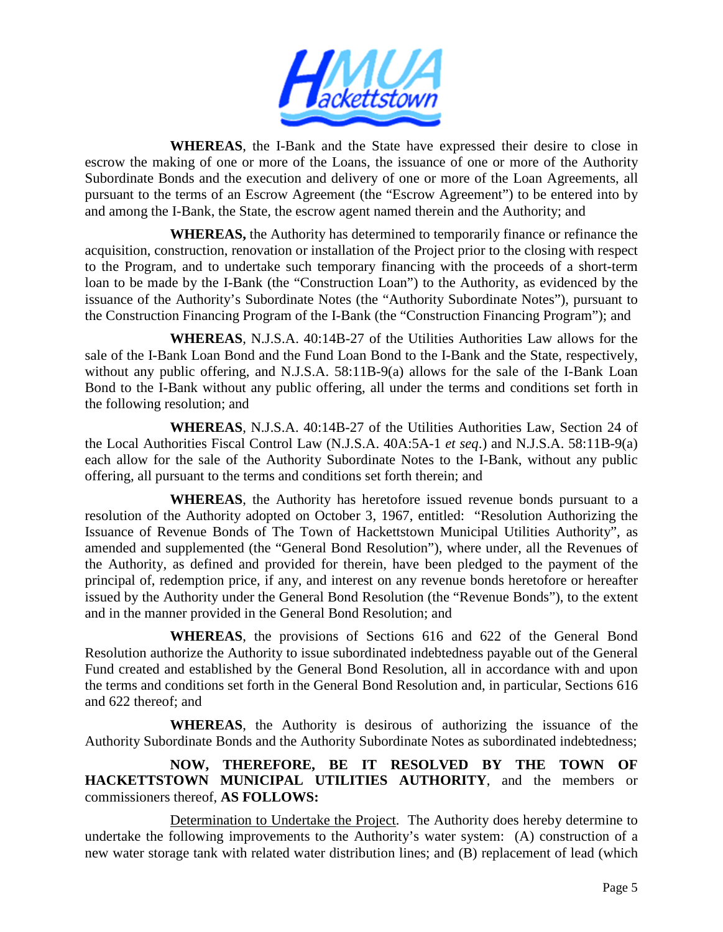

**WHEREAS**, the I-Bank and the State have expressed their desire to close in escrow the making of one or more of the Loans, the issuance of one or more of the Authority Subordinate Bonds and the execution and delivery of one or more of the Loan Agreements, all pursuant to the terms of an Escrow Agreement (the "Escrow Agreement") to be entered into by and among the I-Bank, the State, the escrow agent named therein and the Authority; and

**WHEREAS,** the Authority has determined to temporarily finance or refinance the acquisition, construction, renovation or installation of the Project prior to the closing with respect to the Program, and to undertake such temporary financing with the proceeds of a short-term loan to be made by the I-Bank (the "Construction Loan") to the Authority, as evidenced by the issuance of the Authority's Subordinate Notes (the "Authority Subordinate Notes"), pursuant to the Construction Financing Program of the I-Bank (the "Construction Financing Program"); and

**WHEREAS**, N.J.S.A. 40:14B-27 of the Utilities Authorities Law allows for the sale of the I-Bank Loan Bond and the Fund Loan Bond to the I-Bank and the State, respectively, without any public offering, and N.J.S.A. 58:11B-9(a) allows for the sale of the I-Bank Loan Bond to the I-Bank without any public offering, all under the terms and conditions set forth in the following resolution; and

**WHEREAS**, N.J.S.A. 40:14B-27 of the Utilities Authorities Law, Section 24 of the Local Authorities Fiscal Control Law (N.J.S.A. 40A:5A-1 *et seq*.) and N.J.S.A. 58:11B-9(a) each allow for the sale of the Authority Subordinate Notes to the I-Bank, without any public offering, all pursuant to the terms and conditions set forth therein; and

**WHEREAS**, the Authority has heretofore issued revenue bonds pursuant to a resolution of the Authority adopted on October 3, 1967, entitled: "Resolution Authorizing the Issuance of Revenue Bonds of The Town of Hackettstown Municipal Utilities Authority", as amended and supplemented (the "General Bond Resolution"), where under, all the Revenues of the Authority, as defined and provided for therein, have been pledged to the payment of the principal of, redemption price, if any, and interest on any revenue bonds heretofore or hereafter issued by the Authority under the General Bond Resolution (the "Revenue Bonds"), to the extent and in the manner provided in the General Bond Resolution; and

**WHEREAS**, the provisions of Sections 616 and 622 of the General Bond Resolution authorize the Authority to issue subordinated indebtedness payable out of the General Fund created and established by the General Bond Resolution, all in accordance with and upon the terms and conditions set forth in the General Bond Resolution and, in particular, Sections 616 and 622 thereof; and

**WHEREAS**, the Authority is desirous of authorizing the issuance of the Authority Subordinate Bonds and the Authority Subordinate Notes as subordinated indebtedness;

**NOW, THEREFORE, BE IT RESOLVED BY THE TOWN OF HACKETTSTOWN MUNICIPAL UTILITIES AUTHORITY**, and the members or commissioners thereof, **AS FOLLOWS:** 

Determination to Undertake the Project. The Authority does hereby determine to undertake the following improvements to the Authority's water system: (A) construction of a new water storage tank with related water distribution lines; and (B) replacement of lead (which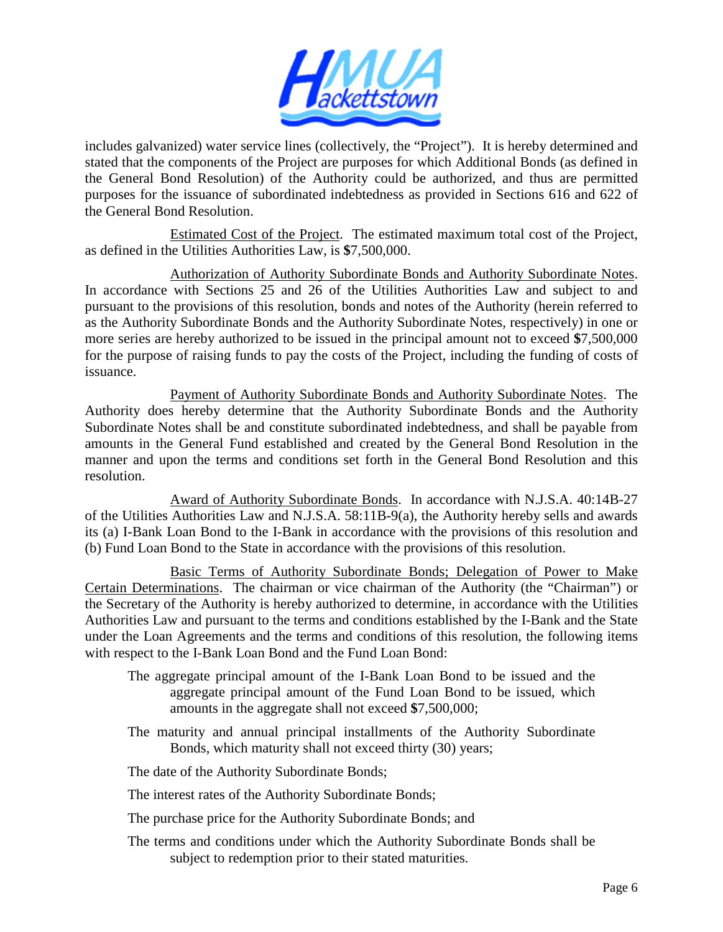

includes galvanized) water service lines (collectively, the "Project"). It is hereby determined and stated that the components of the Project are purposes for which Additional Bonds (as defined in the General Bond Resolution) of the Authority could be authorized, and thus are permitted purposes for the issuance of subordinated indebtedness as provided in Sections 616 and 622 of the General Bond Resolution.

Estimated Cost of the Project. The estimated maximum total cost of the Project, as defined in the Utilities Authorities Law, is **\$**7,500,000.

Authorization of Authority Subordinate Bonds and Authority Subordinate Notes. In accordance with Sections 25 and 26 of the Utilities Authorities Law and subject to and pursuant to the provisions of this resolution, bonds and notes of the Authority (herein referred to as the Authority Subordinate Bonds and the Authority Subordinate Notes, respectively) in one or more series are hereby authorized to be issued in the principal amount not to exceed **\$**7,500,000 for the purpose of raising funds to pay the costs of the Project, including the funding of costs of issuance.

Payment of Authority Subordinate Bonds and Authority Subordinate Notes. The Authority does hereby determine that the Authority Subordinate Bonds and the Authority Subordinate Notes shall be and constitute subordinated indebtedness, and shall be payable from amounts in the General Fund established and created by the General Bond Resolution in the manner and upon the terms and conditions set forth in the General Bond Resolution and this resolution.

Award of Authority Subordinate Bonds. In accordance with N.J.S.A. 40:14B-27 of the Utilities Authorities Law and N.J.S.A. 58:11B-9(a), the Authority hereby sells and awards its (a) I-Bank Loan Bond to the I-Bank in accordance with the provisions of this resolution and (b) Fund Loan Bond to the State in accordance with the provisions of this resolution.

Basic Terms of Authority Subordinate Bonds; Delegation of Power to Make Certain Determinations. The chairman or vice chairman of the Authority (the "Chairman") or the Secretary of the Authority is hereby authorized to determine, in accordance with the Utilities Authorities Law and pursuant to the terms and conditions established by the I-Bank and the State under the Loan Agreements and the terms and conditions of this resolution, the following items with respect to the I-Bank Loan Bond and the Fund Loan Bond:

- The aggregate principal amount of the I-Bank Loan Bond to be issued and the aggregate principal amount of the Fund Loan Bond to be issued, which amounts in the aggregate shall not exceed **\$**7,500,000;
- The maturity and annual principal installments of the Authority Subordinate Bonds, which maturity shall not exceed thirty (30) years;

The date of the Authority Subordinate Bonds;

The interest rates of the Authority Subordinate Bonds;

- The purchase price for the Authority Subordinate Bonds; and
- The terms and conditions under which the Authority Subordinate Bonds shall be subject to redemption prior to their stated maturities.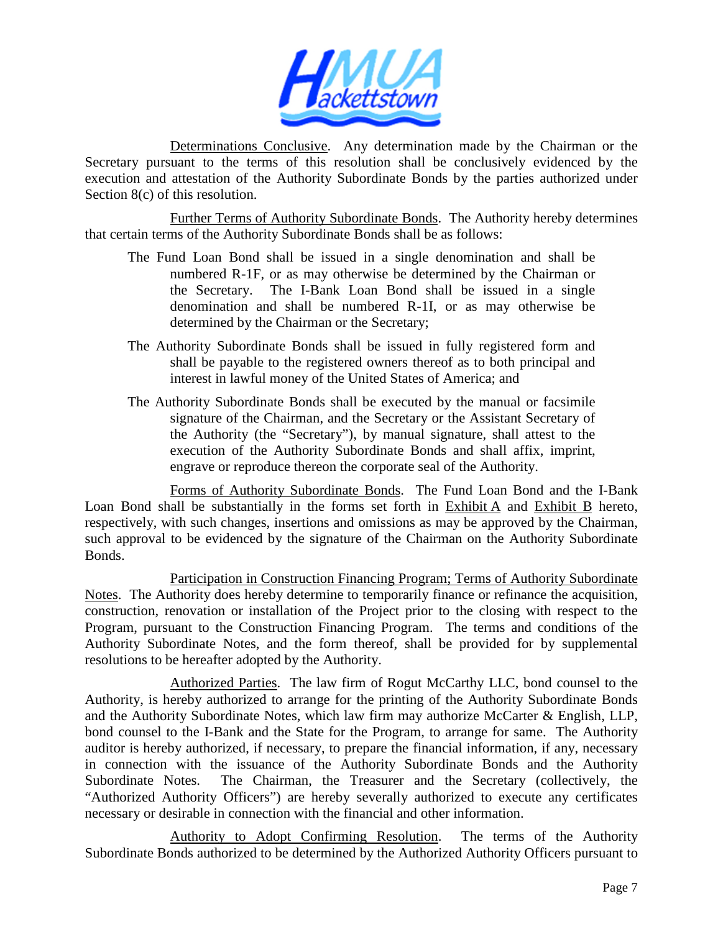

Determinations Conclusive. Any determination made by the Chairman or the Secretary pursuant to the terms of this resolution shall be conclusively evidenced by the execution and attestation of the Authority Subordinate Bonds by the parties authorized under Section 8(c) of this resolution.

Further Terms of Authority Subordinate Bonds. The Authority hereby determines that certain terms of the Authority Subordinate Bonds shall be as follows:

- The Fund Loan Bond shall be issued in a single denomination and shall be numbered R-1F, or as may otherwise be determined by the Chairman or the Secretary. The I-Bank Loan Bond shall be issued in a single denomination and shall be numbered R-1I, or as may otherwise be determined by the Chairman or the Secretary;
- The Authority Subordinate Bonds shall be issued in fully registered form and shall be payable to the registered owners thereof as to both principal and interest in lawful money of the United States of America; and
- The Authority Subordinate Bonds shall be executed by the manual or facsimile signature of the Chairman, and the Secretary or the Assistant Secretary of the Authority (the "Secretary"), by manual signature, shall attest to the execution of the Authority Subordinate Bonds and shall affix, imprint, engrave or reproduce thereon the corporate seal of the Authority.

Forms of Authority Subordinate Bonds. The Fund Loan Bond and the I-Bank Loan Bond shall be substantially in the forms set forth in Exhibit A and Exhibit B hereto, respectively, with such changes, insertions and omissions as may be approved by the Chairman, such approval to be evidenced by the signature of the Chairman on the Authority Subordinate Bonds.

Participation in Construction Financing Program; Terms of Authority Subordinate Notes. The Authority does hereby determine to temporarily finance or refinance the acquisition, construction, renovation or installation of the Project prior to the closing with respect to the Program, pursuant to the Construction Financing Program. The terms and conditions of the Authority Subordinate Notes, and the form thereof, shall be provided for by supplemental resolutions to be hereafter adopted by the Authority.

Authorized Parties. The law firm of Rogut McCarthy LLC, bond counsel to the Authority, is hereby authorized to arrange for the printing of the Authority Subordinate Bonds and the Authority Subordinate Notes, which law firm may authorize McCarter & English, LLP, bond counsel to the I-Bank and the State for the Program, to arrange for same. The Authority auditor is hereby authorized, if necessary, to prepare the financial information, if any, necessary in connection with the issuance of the Authority Subordinate Bonds and the Authority Subordinate Notes. The Chairman, the Treasurer and the Secretary (collectively, the "Authorized Authority Officers") are hereby severally authorized to execute any certificates necessary or desirable in connection with the financial and other information.

Authority to Adopt Confirming Resolution. The terms of the Authority Subordinate Bonds authorized to be determined by the Authorized Authority Officers pursuant to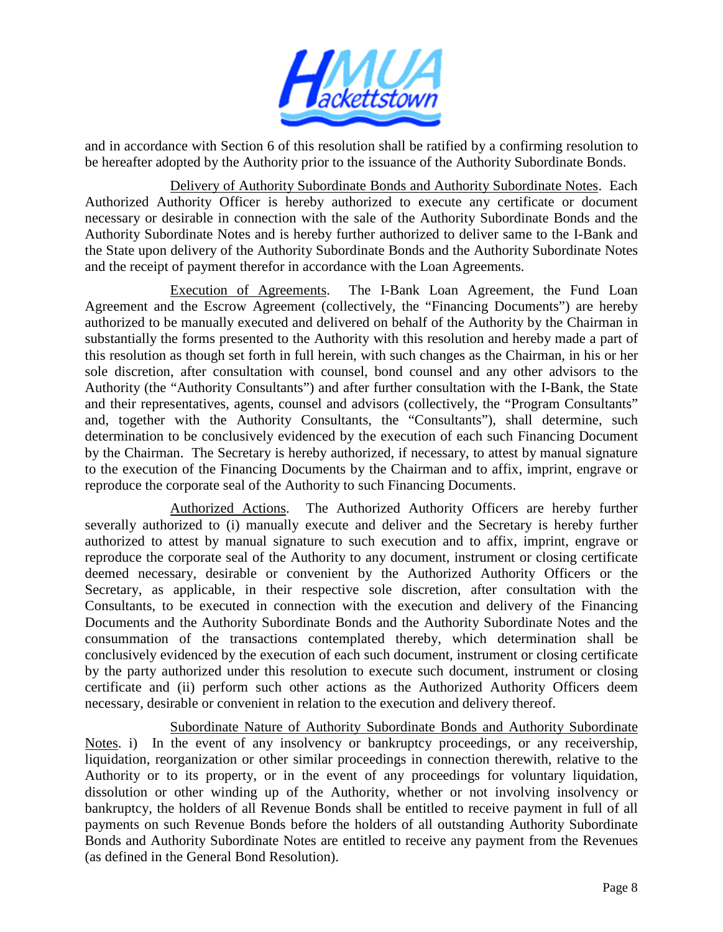

and in accordance with Section 6 of this resolution shall be ratified by a confirming resolution to be hereafter adopted by the Authority prior to the issuance of the Authority Subordinate Bonds.

Delivery of Authority Subordinate Bonds and Authority Subordinate Notes. Each Authorized Authority Officer is hereby authorized to execute any certificate or document necessary or desirable in connection with the sale of the Authority Subordinate Bonds and the Authority Subordinate Notes and is hereby further authorized to deliver same to the I-Bank and the State upon delivery of the Authority Subordinate Bonds and the Authority Subordinate Notes and the receipt of payment therefor in accordance with the Loan Agreements.

Execution of Agreements. The I-Bank Loan Agreement, the Fund Loan Agreement and the Escrow Agreement (collectively, the "Financing Documents") are hereby authorized to be manually executed and delivered on behalf of the Authority by the Chairman in substantially the forms presented to the Authority with this resolution and hereby made a part of this resolution as though set forth in full herein, with such changes as the Chairman, in his or her sole discretion, after consultation with counsel, bond counsel and any other advisors to the Authority (the "Authority Consultants") and after further consultation with the I-Bank, the State and their representatives, agents, counsel and advisors (collectively, the "Program Consultants" and, together with the Authority Consultants, the "Consultants"), shall determine, such determination to be conclusively evidenced by the execution of each such Financing Document by the Chairman. The Secretary is hereby authorized, if necessary, to attest by manual signature to the execution of the Financing Documents by the Chairman and to affix, imprint, engrave or reproduce the corporate seal of the Authority to such Financing Documents.

Authorized Actions. The Authorized Authority Officers are hereby further severally authorized to (i) manually execute and deliver and the Secretary is hereby further authorized to attest by manual signature to such execution and to affix, imprint, engrave or reproduce the corporate seal of the Authority to any document, instrument or closing certificate deemed necessary, desirable or convenient by the Authorized Authority Officers or the Secretary, as applicable, in their respective sole discretion, after consultation with the Consultants, to be executed in connection with the execution and delivery of the Financing Documents and the Authority Subordinate Bonds and the Authority Subordinate Notes and the consummation of the transactions contemplated thereby, which determination shall be conclusively evidenced by the execution of each such document, instrument or closing certificate by the party authorized under this resolution to execute such document, instrument or closing certificate and (ii) perform such other actions as the Authorized Authority Officers deem necessary, desirable or convenient in relation to the execution and delivery thereof.

Subordinate Nature of Authority Subordinate Bonds and Authority Subordinate Notes. i) In the event of any insolvency or bankruptcy proceedings, or any receivership, liquidation, reorganization or other similar proceedings in connection therewith, relative to the Authority or to its property, or in the event of any proceedings for voluntary liquidation, dissolution or other winding up of the Authority, whether or not involving insolvency or bankruptcy, the holders of all Revenue Bonds shall be entitled to receive payment in full of all payments on such Revenue Bonds before the holders of all outstanding Authority Subordinate Bonds and Authority Subordinate Notes are entitled to receive any payment from the Revenues (as defined in the General Bond Resolution).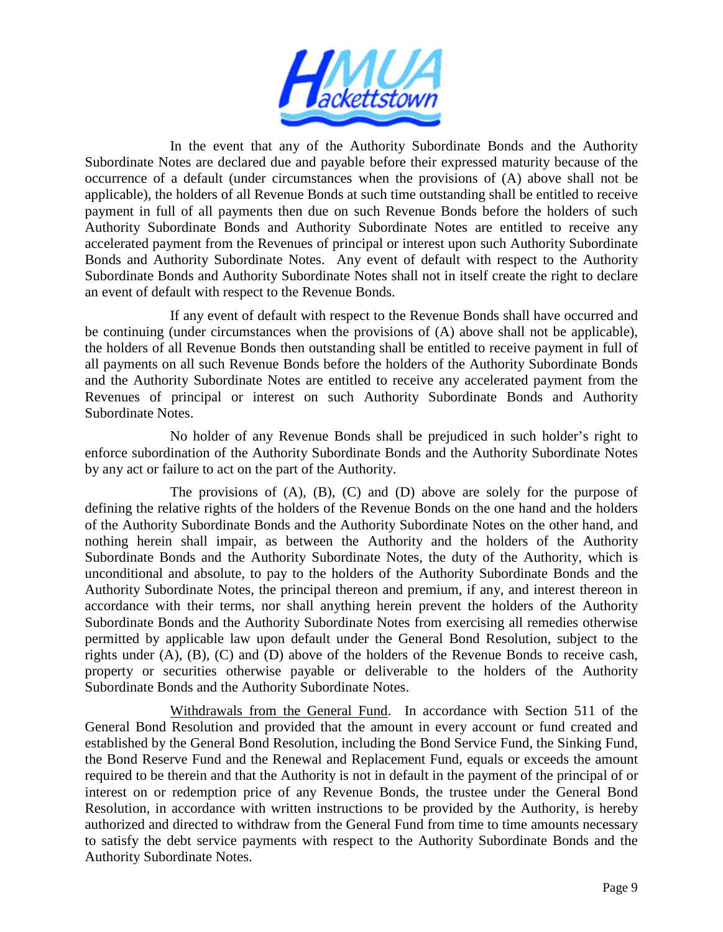

In the event that any of the Authority Subordinate Bonds and the Authority Subordinate Notes are declared due and payable before their expressed maturity because of the occurrence of a default (under circumstances when the provisions of (A) above shall not be applicable), the holders of all Revenue Bonds at such time outstanding shall be entitled to receive payment in full of all payments then due on such Revenue Bonds before the holders of such Authority Subordinate Bonds and Authority Subordinate Notes are entitled to receive any accelerated payment from the Revenues of principal or interest upon such Authority Subordinate Bonds and Authority Subordinate Notes. Any event of default with respect to the Authority Subordinate Bonds and Authority Subordinate Notes shall not in itself create the right to declare an event of default with respect to the Revenue Bonds.

If any event of default with respect to the Revenue Bonds shall have occurred and be continuing (under circumstances when the provisions of (A) above shall not be applicable), the holders of all Revenue Bonds then outstanding shall be entitled to receive payment in full of all payments on all such Revenue Bonds before the holders of the Authority Subordinate Bonds and the Authority Subordinate Notes are entitled to receive any accelerated payment from the Revenues of principal or interest on such Authority Subordinate Bonds and Authority Subordinate Notes.

No holder of any Revenue Bonds shall be prejudiced in such holder's right to enforce subordination of the Authority Subordinate Bonds and the Authority Subordinate Notes by any act or failure to act on the part of the Authority.

The provisions of  $(A)$ ,  $(B)$ ,  $(C)$  and  $(D)$  above are solely for the purpose of defining the relative rights of the holders of the Revenue Bonds on the one hand and the holders of the Authority Subordinate Bonds and the Authority Subordinate Notes on the other hand, and nothing herein shall impair, as between the Authority and the holders of the Authority Subordinate Bonds and the Authority Subordinate Notes, the duty of the Authority, which is unconditional and absolute, to pay to the holders of the Authority Subordinate Bonds and the Authority Subordinate Notes, the principal thereon and premium, if any, and interest thereon in accordance with their terms, nor shall anything herein prevent the holders of the Authority Subordinate Bonds and the Authority Subordinate Notes from exercising all remedies otherwise permitted by applicable law upon default under the General Bond Resolution, subject to the rights under (A), (B), (C) and (D) above of the holders of the Revenue Bonds to receive cash, property or securities otherwise payable or deliverable to the holders of the Authority Subordinate Bonds and the Authority Subordinate Notes.

Withdrawals from the General Fund. In accordance with Section 511 of the General Bond Resolution and provided that the amount in every account or fund created and established by the General Bond Resolution, including the Bond Service Fund, the Sinking Fund, the Bond Reserve Fund and the Renewal and Replacement Fund, equals or exceeds the amount required to be therein and that the Authority is not in default in the payment of the principal of or interest on or redemption price of any Revenue Bonds, the trustee under the General Bond Resolution, in accordance with written instructions to be provided by the Authority, is hereby authorized and directed to withdraw from the General Fund from time to time amounts necessary to satisfy the debt service payments with respect to the Authority Subordinate Bonds and the Authority Subordinate Notes.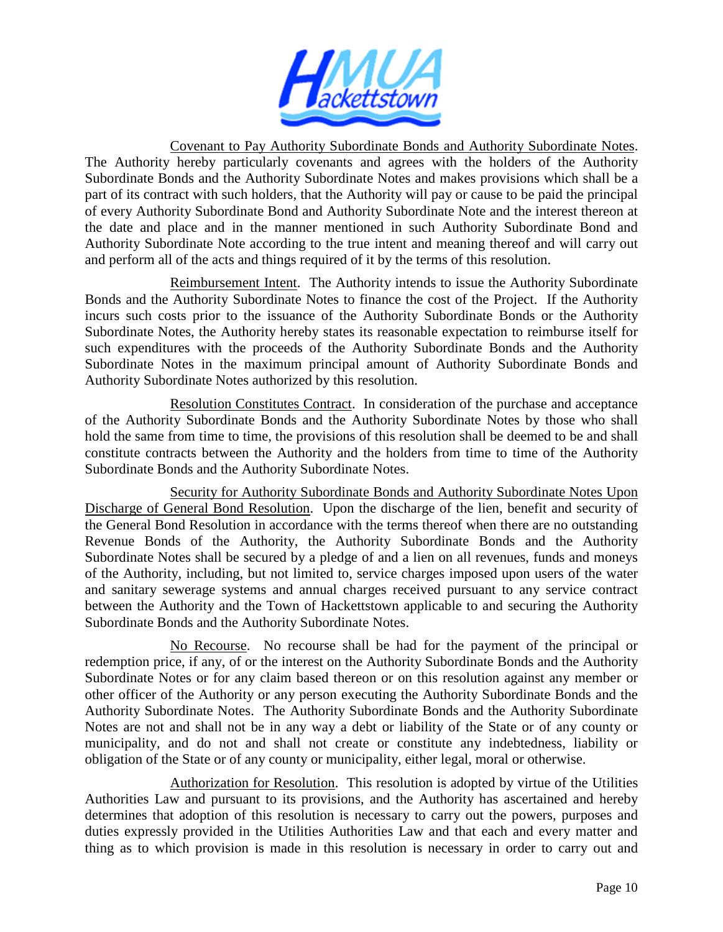

Covenant to Pay Authority Subordinate Bonds and Authority Subordinate Notes. The Authority hereby particularly covenants and agrees with the holders of the Authority Subordinate Bonds and the Authority Subordinate Notes and makes provisions which shall be a part of its contract with such holders, that the Authority will pay or cause to be paid the principal of every Authority Subordinate Bond and Authority Subordinate Note and the interest thereon at the date and place and in the manner mentioned in such Authority Subordinate Bond and Authority Subordinate Note according to the true intent and meaning thereof and will carry out and perform all of the acts and things required of it by the terms of this resolution.

Reimbursement Intent. The Authority intends to issue the Authority Subordinate Bonds and the Authority Subordinate Notes to finance the cost of the Project. If the Authority incurs such costs prior to the issuance of the Authority Subordinate Bonds or the Authority Subordinate Notes, the Authority hereby states its reasonable expectation to reimburse itself for such expenditures with the proceeds of the Authority Subordinate Bonds and the Authority Subordinate Notes in the maximum principal amount of Authority Subordinate Bonds and Authority Subordinate Notes authorized by this resolution.

Resolution Constitutes Contract. In consideration of the purchase and acceptance of the Authority Subordinate Bonds and the Authority Subordinate Notes by those who shall hold the same from time to time, the provisions of this resolution shall be deemed to be and shall constitute contracts between the Authority and the holders from time to time of the Authority Subordinate Bonds and the Authority Subordinate Notes.

Security for Authority Subordinate Bonds and Authority Subordinate Notes Upon Discharge of General Bond Resolution. Upon the discharge of the lien, benefit and security of the General Bond Resolution in accordance with the terms thereof when there are no outstanding Revenue Bonds of the Authority, the Authority Subordinate Bonds and the Authority Subordinate Notes shall be secured by a pledge of and a lien on all revenues, funds and moneys of the Authority, including, but not limited to, service charges imposed upon users of the water and sanitary sewerage systems and annual charges received pursuant to any service contract between the Authority and the Town of Hackettstown applicable to and securing the Authority Subordinate Bonds and the Authority Subordinate Notes.

No Recourse. No recourse shall be had for the payment of the principal or redemption price, if any, of or the interest on the Authority Subordinate Bonds and the Authority Subordinate Notes or for any claim based thereon or on this resolution against any member or other officer of the Authority or any person executing the Authority Subordinate Bonds and the Authority Subordinate Notes. The Authority Subordinate Bonds and the Authority Subordinate Notes are not and shall not be in any way a debt or liability of the State or of any county or municipality, and do not and shall not create or constitute any indebtedness, liability or obligation of the State or of any county or municipality, either legal, moral or otherwise.

Authorization for Resolution. This resolution is adopted by virtue of the Utilities Authorities Law and pursuant to its provisions, and the Authority has ascertained and hereby determines that adoption of this resolution is necessary to carry out the powers, purposes and duties expressly provided in the Utilities Authorities Law and that each and every matter and thing as to which provision is made in this resolution is necessary in order to carry out and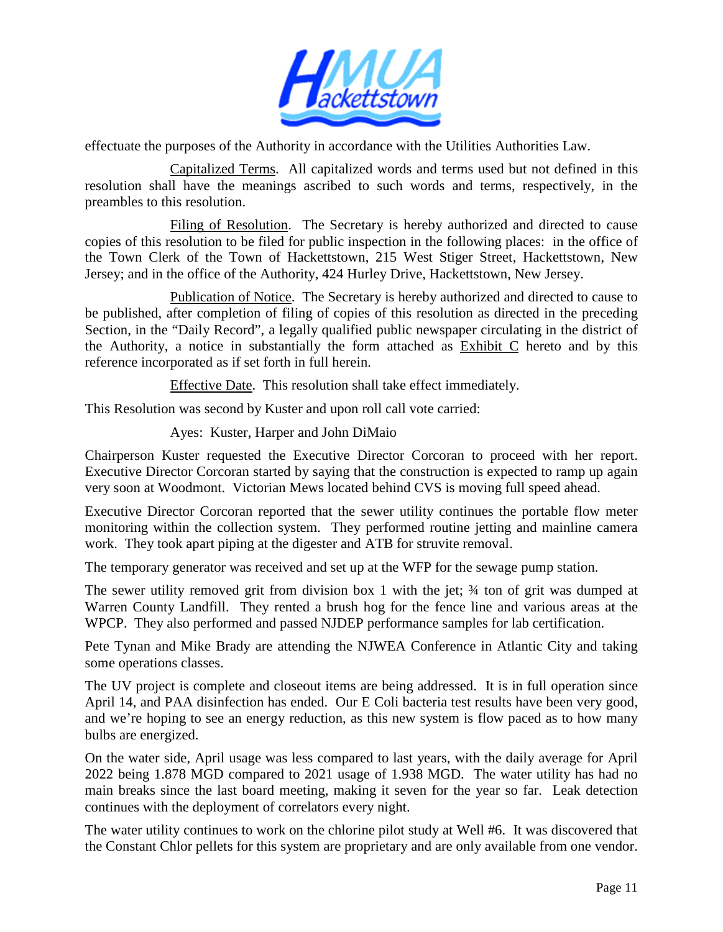

effectuate the purposes of the Authority in accordance with the Utilities Authorities Law.

Capitalized Terms. All capitalized words and terms used but not defined in this resolution shall have the meanings ascribed to such words and terms, respectively, in the preambles to this resolution.

Filing of Resolution. The Secretary is hereby authorized and directed to cause copies of this resolution to be filed for public inspection in the following places: in the office of the Town Clerk of the Town of Hackettstown, 215 West Stiger Street, Hackettstown, New Jersey; and in the office of the Authority, 424 Hurley Drive, Hackettstown, New Jersey.

Publication of Notice. The Secretary is hereby authorized and directed to cause to be published, after completion of filing of copies of this resolution as directed in the preceding Section, in the "Daily Record", a legally qualified public newspaper circulating in the district of the Authority, a notice in substantially the form attached as Exhibit C hereto and by this reference incorporated as if set forth in full herein.

Effective Date. This resolution shall take effect immediately.

This Resolution was second by Kuster and upon roll call vote carried:

Ayes: Kuster, Harper and John DiMaio

Chairperson Kuster requested the Executive Director Corcoran to proceed with her report. Executive Director Corcoran started by saying that the construction is expected to ramp up again very soon at Woodmont. Victorian Mews located behind CVS is moving full speed ahead.

Executive Director Corcoran reported that the sewer utility continues the portable flow meter monitoring within the collection system. They performed routine jetting and mainline camera work. They took apart piping at the digester and ATB for struvite removal.

The temporary generator was received and set up at the WFP for the sewage pump station.

The sewer utility removed grit from division box 1 with the jet;  $\frac{3}{4}$  ton of grit was dumped at Warren County Landfill. They rented a brush hog for the fence line and various areas at the WPCP. They also performed and passed NJDEP performance samples for lab certification.

Pete Tynan and Mike Brady are attending the NJWEA Conference in Atlantic City and taking some operations classes.

The UV project is complete and closeout items are being addressed. It is in full operation since April 14, and PAA disinfection has ended. Our E Coli bacteria test results have been very good, and we're hoping to see an energy reduction, as this new system is flow paced as to how many bulbs are energized.

On the water side, April usage was less compared to last years, with the daily average for April 2022 being 1.878 MGD compared to 2021 usage of 1.938 MGD. The water utility has had no main breaks since the last board meeting, making it seven for the year so far. Leak detection continues with the deployment of correlators every night.

The water utility continues to work on the chlorine pilot study at Well #6. It was discovered that the Constant Chlor pellets for this system are proprietary and are only available from one vendor.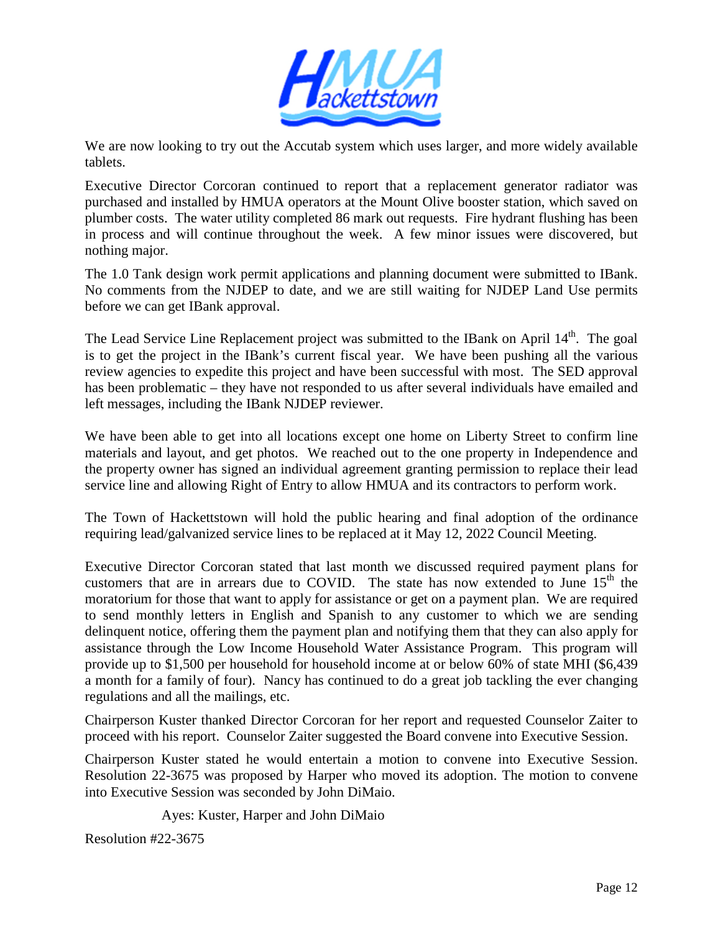

We are now looking to try out the Accutab system which uses larger, and more widely available tablets.

Executive Director Corcoran continued to report that a replacement generator radiator was purchased and installed by HMUA operators at the Mount Olive booster station, which saved on plumber costs. The water utility completed 86 mark out requests. Fire hydrant flushing has been in process and will continue throughout the week. A few minor issues were discovered, but nothing major.

The 1.0 Tank design work permit applications and planning document were submitted to IBank. No comments from the NJDEP to date, and we are still waiting for NJDEP Land Use permits before we can get IBank approval.

The Lead Service Line Replacement project was submitted to the IBank on April 14<sup>th</sup>. The goal is to get the project in the IBank's current fiscal year. We have been pushing all the various review agencies to expedite this project and have been successful with most. The SED approval has been problematic – they have not responded to us after several individuals have emailed and left messages, including the IBank NJDEP reviewer.

We have been able to get into all locations except one home on Liberty Street to confirm line materials and layout, and get photos. We reached out to the one property in Independence and the property owner has signed an individual agreement granting permission to replace their lead service line and allowing Right of Entry to allow HMUA and its contractors to perform work.

The Town of Hackettstown will hold the public hearing and final adoption of the ordinance requiring lead/galvanized service lines to be replaced at it May 12, 2022 Council Meeting.

Executive Director Corcoran stated that last month we discussed required payment plans for customers that are in arrears due to COVID. The state has now extended to June  $15<sup>th</sup>$  the moratorium for those that want to apply for assistance or get on a payment plan. We are required to send monthly letters in English and Spanish to any customer to which we are sending delinquent notice, offering them the payment plan and notifying them that they can also apply for assistance through the Low Income Household Water Assistance Program. This program will provide up to \$1,500 per household for household income at or below 60% of state MHI (\$6,439 a month for a family of four). Nancy has continued to do a great job tackling the ever changing regulations and all the mailings, etc.

Chairperson Kuster thanked Director Corcoran for her report and requested Counselor Zaiter to proceed with his report. Counselor Zaiter suggested the Board convene into Executive Session.

Chairperson Kuster stated he would entertain a motion to convene into Executive Session. Resolution 22-3675 was proposed by Harper who moved its adoption. The motion to convene into Executive Session was seconded by John DiMaio.

Ayes: Kuster, Harper and John DiMaio

Resolution #22-3675